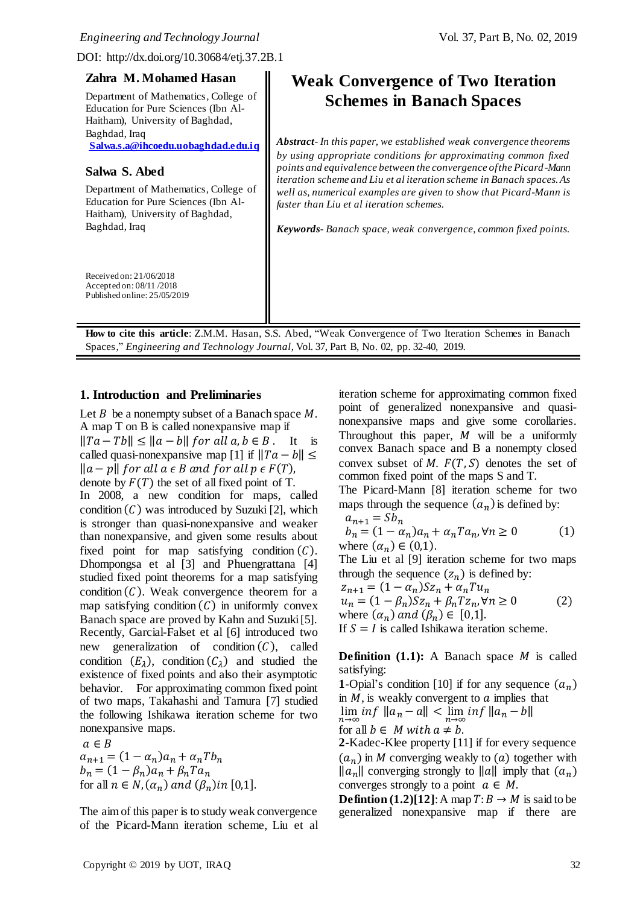DOI: http://dx.doi.org/10.30684/etj.37.2B.1

| Zahra M. Mohamed Hasan<br>Department of Mathematics, College of<br>Education for Pure Sciences (Ibn Al-<br>Haitham), University of Baghdad,                                                                | <b>Weak Convergence of Two Iteration</b><br><b>Schemes in Banach Spaces</b>                                                                                                                                                                                                                                                                                                                                                                                                       |
|------------------------------------------------------------------------------------------------------------------------------------------------------------------------------------------------------------|-----------------------------------------------------------------------------------------------------------------------------------------------------------------------------------------------------------------------------------------------------------------------------------------------------------------------------------------------------------------------------------------------------------------------------------------------------------------------------------|
| Baghdad, Iraq<br>Salwa.s.a@ihcoedu.uobaghdad.edu.iq<br>Salwa S. Abed<br>Department of Mathematics, College of<br>Education for Pure Sciences (Ibn Al-<br>Haitham), University of Baghdad,<br>Baghdad, Iraq | <b>Abstract-</b> In this paper, we established weak convergence theorems<br>by using appropriate conditions for approximating common fixed<br>points and equivalence between the convergence of the Picard-Mann<br>iteration scheme and Liu et al iteration scheme in Banach spaces. As<br>well as, numerical examples are given to show that Picard-Mann is<br>faster than Liu et al iteration schemes.<br><b>Keywords</b> -Banach space, weak convergence, common fixed points. |
| Received on: 21/06/2018<br>Accepted on: 08/11/2018<br>Published online: 25/05/2019                                                                                                                         |                                                                                                                                                                                                                                                                                                                                                                                                                                                                                   |

**How to cite this article**: Z.M.M. Hasan, S.S. Abed, "Weak Convergence of Two Iteration Schemes in Banach Spaces," *Engineering and Technology Journal*, Vol. 37, Part B, No. 02, pp. 32-40, 2019.

### **1. Introduction and Preliminaries**

Let  $B$  be a nonempty subset of a Banach space  $M$ . A map T on B is called nonexpansive map if  $||Ta - Tb|| \le ||a - b||$  for all  $a, b \in B$ . It is called quasi-nonexpansive map [1] if  $||Ta - b|| \le$  $||a-p||$  for all a  $∈$  B and for all  $p ∈ F(T)$ , denote by  $F(T)$  the set of all fixed point of T.

In 2008, a new condition for maps, called condition  $(C)$  was introduced by Suzuki [2], which is stronger than quasi-nonexpansive and weaker than nonexpansive, and given some results about fixed point for map satisfying condition  $(C)$ . Dhompongsa et al [3] and Phuengrattana [4] studied fixed point theorems for a map satisfying condition  $(C)$ . Weak convergence theorem for a map satisfying condition  $(C)$  in uniformly convex Banach space are proved by Kahn and Suzuki [5]. Recently, Garcial-Falset et al [6] introduced two new generalization of condition  $(C)$ , called condition  $(E_{\lambda})$ , condition  $(C_{\lambda})$  and studied the existence of fixed points and also their asymptotic behavior. For approximating common fixed point of two maps, Takahashi and Tamura [7] studied the following Ishikawa iteration scheme for two nonexpansive maps.

 $a \in B$  $a_{n+1} = (1 - a_n)a_n + a_nTb_n$  $b_n = (1 - \beta_n)a_n + \beta_n T a_n$ for all  $n \in N$ ,  $(\alpha_n)$  and  $(\beta_n)$ in [0,1].

The aim of this paper is to study weak convergence of the Picard-Mann iteration scheme, Liu et al iteration scheme for approximating common fixed point of generalized nonexpansive and quasinonexpansive maps and give some corollaries. Throughout this paper,  $M$  will be a uniformly convex Banach space and B a nonempty closed convex subset of  $M. F(T, S)$  denotes the set of common fixed point of the maps S and T.

The Picard-Mann [8] iteration scheme for two maps through the sequence  $(a_n)$  is defined by:

$$
a_{n+1} = Sb_n
$$

$$
b_n = (1 - \alpha_n)a_n + \alpha_n T a_n, \forall n \ge 0
$$
 (1)  
where  $(\alpha_n) \in (0,1)$ .

The Liu et al [9] iteration scheme for two maps through the sequence  $(z_n)$  is defined by:

$$
z_{n+1} = (1 - \alpha_n) Sz_n + \alpha_n T u_n
$$
  
\n
$$
u_n = (1 - \beta_n) Sz_n + \beta_n T z_n, \forall n \ge 0
$$
  
\nwhere  $(\alpha_n)$  and  $(\beta_n) \in [0,1]$ .

If  $S = I$  is called Ishikawa iteration scheme.

**Definition**  $(1.1)$ : A Banach space *M* is called satisfying:

**1**-Opial's condition [10] if for any sequence  $(a_n)$ in  $M$ , is weakly convergent to  $\alpha$  implies that  $\lim_{n\to\infty}$  inf  $||a_n - a|| < \lim_{n\to\infty}$  inf  $||a_n - b||$ for all  $b \in M$  with  $a \neq b$ .

**2**-Kadec-Klee property [11] if for every sequence  $(a_n)$  in *M* converging weakly to (*a*) together with  $\|a_n\|$  converging strongly to  $\|a\|$  imply that  $(a_n)$ converges strongly to a point  $a \in M$ .

**Defintion (1.2)[12]:** A map  $T: B \rightarrow M$  is said to be generalized nonexpansive map if there are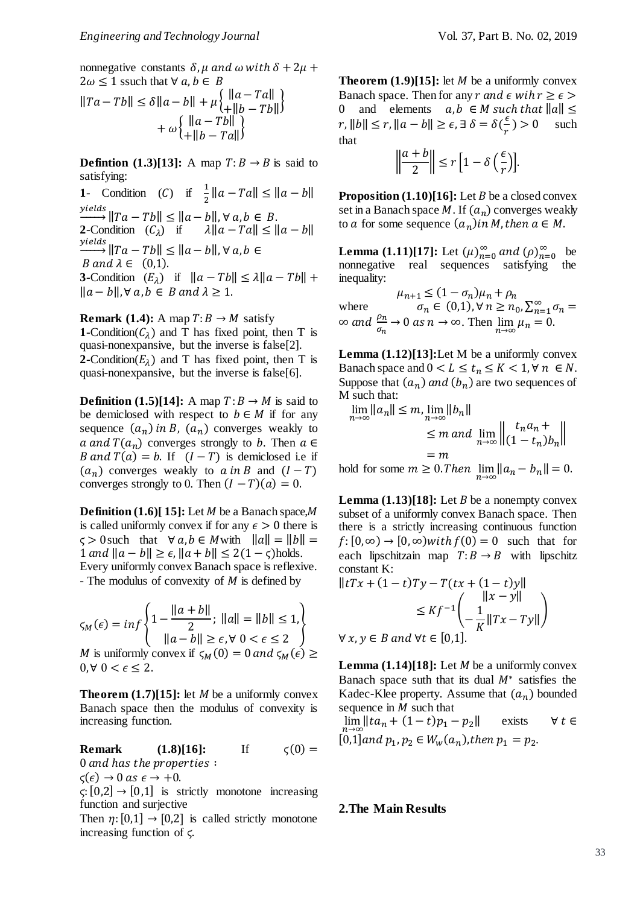nonnegative constants  $\delta$ ,  $\mu$  and  $\omega$  with  $\delta + 2\mu$  +  $2\omega \leq 1$  ssuch that  $\forall a, b \in B$ 

$$
||Ta - Tb|| \le \delta ||a - b|| + \mu \begin{cases} ||a - Ta|| \\ + ||b - Tb|| \end{cases} + \omega \begin{cases} ||a - Ta|| \\ + ||b - Ta|| \end{cases} + \omega \begin{cases} ||a - Tb|| \\ + ||b - Ta|| \end{cases}
$$

**Defintion** (1.3)[13]: A map  $T: B \rightarrow B$  is said to satisfying:

**1**- Condition (*C*) if  $\frac{1}{2} ||a - Ta|| \le ||a - b||$  $\frac{yields}{\longrightarrow} || Ta - Tb|| \le ||a - b||, \forall a, b \in B.$ **2**-Condition  $(C_{\lambda})$  if  $\lambda ||a - Ta|| \le ||a - b||$  $\frac{yields}{\longrightarrow}$ ||Ta – Tb|| ≤ ||a – b||,∀a,b ∈ B and  $\lambda \in (0,1)$ . **3**-Condition  $(E_{\lambda})$  if  $||a - Tb|| \leq \lambda ||a - Tb|| +$  $||a-b||$ ,  $\forall a,b \in B$  and  $\lambda \geq 1$ .

**Remark** (1.4): A map  $T: B \rightarrow M$  satisfy **1**-Condition( $C_{\lambda}$ ) and T has fixed point, then T is quasi-nonexpansive, but the inverse is false[2]. **2**-Condition( $E_{\lambda}$ ) and T has fixed point, then T is quasi-nonexpansive, but the inverse is false[6].

**Definition** (1.5)[14]: A map  $T: B \rightarrow M$  is said to be demiclosed with respect to  $b \in M$  if for any sequence  $(a_n)$  in B,  $(a_n)$  converges weakly to a and  $T(a_n)$  converges strongly to b. Then  $a \in$ B and  $T(a) = b$ . If  $(I - T)$  is demiclosed i.e if  $(a_n)$  converges weakly to  $a$  in B and  $(I - T)$ converges strongly to 0. Then  $(I - T)(a) = 0$ .

**Definition**  $(1.6)$ [ 15]: Let *M* be a Banach space, *M* is called uniformly convex if for any  $\epsilon > 0$  there is  $\varsigma > 0$  such that  $\forall a, b \in M$  with  $||a|| = ||b|| =$  $1 \text{ and } ||a-b|| \geq \epsilon$ ,  $||a+b|| \leq 2(1-\zeta)$ holds. Every uniformly convex Banach space is reflexive. - The modulus of convexity of  $M$  is defined by

$$
\varsigma_M(\epsilon) = \inf \left\{ 1 - \frac{\|a + b\|}{2}; \ \|a\| = \|b\| \le 1, \\\|a - b\| \ge \epsilon, \forall \ 0 < \epsilon \le 2 \right\}
$$

M is uniformly convex if  $\zeta_M(0) = 0$  and  $\zeta_M(\epsilon) \geq$  $0, \forall 0 < \epsilon \leq 2.$ 

**Theorem**  $(1.7)[15]$ **: let** *M* **be a uniformly convex** Banach space then the modulus of convexity is increasing function.

**Remark (1.8)[16]:** If  $\zeta(0) =$ 0 and has the properties :  $\varsigma(\epsilon) \rightarrow 0$  as  $\epsilon \rightarrow +0$ .

 $\varsigma: [0,2] \rightarrow [0,1]$  is strictly monotone increasing function and surjective

Then  $\eta$ : [0,1]  $\rightarrow$  [0,2] is called strictly monotone increasing function of ϛ.

**Theorem**  $(1.9)$ **[15]:** let *M* be a uniformly convex Banach space. Then for any  $r$  and  $\epsilon$  wih  $r \geq \epsilon$ 0 and elements  $a, b \in M$  such that  $||a|| \le$  $r, \|b\| \le r, \|a - b\| \ge \epsilon, \exists \delta = \delta(\frac{\epsilon}{a})$  $\frac{e}{r}$ ) > 0 such that

$$
\left\|\frac{a+b}{2}\right\| \le r \left[1 - \delta\left(\frac{\epsilon}{r}\right)\right].
$$

**Proposition**  $(1.10)[16]$ : Let *B* be a closed convex set in a Banach space M. If  $(a_n)$  converges weakly to *a* for some sequence  $(a_n)$  *in M*, *then*  $a \in M$ .

**Lemma** (1.11)[17]: Let  $(\mu)_{n=0}^{\infty}$  and  $(\rho)_{n=0}^{\infty}$  be nonnegative real sequences satisfying the inequality:

 $\mu_{n+1} \leq (1 - \sigma_n)\mu_n + \rho_n$ where  $\sigma_n \in (0,1)$ ,  $\forall n \geq n_0$ ,  $\sum_{n=1}^{\infty} \sigma_n =$  $\infty$  and  $\frac{\rho_n}{\sigma_n} \to 0$  as  $n \to \infty$ . Then  $\lim_{n \to \infty} \mu_n = 0$ .

**Lemma (1.12)[13]:**Let M be a uniformly convex Banach space and  $0 < L \le t_n \le K < 1, \forall n \in N$ . Suppose that  $(a_n)$  and  $(b_n)$  are two sequences of M such that:

 $\lim_{n\to\infty}||a_n|| \leq m, \lim_{n\to\infty}||b_n||$  $\leq m$  and  $\lim_{n\to\infty}\left\|\frac{t_na_n}{(1-t_n)}\right\|$  $\begin{vmatrix} c_1 & c_2 & c_3 \\ (1 - t_n) b_n \end{vmatrix}$  $=$  m

hold for some  $m \ge 0$ . Then  $\lim_{n \to \infty} ||a_n - b_n|| = 0$ .

**Lemma**  $(1.13)[18]$ : Let *B* be a nonempty convex subset of a uniformly convex Banach space. Then there is a strictly increasing continuous function  $f: [0, \infty) \to [0, \infty)$ with  $f(0) = 0$  such that for each lipschitzain map  $T: B \rightarrow B$  with lipschitz constant K:

$$
||tTx + (1-t)Ty - T(tx + (1-t)y||
$$
  
\n
$$
\leq Kf^{-1}\left(\frac{||x-y||}{-K}||Tx - Ty||\right)
$$
  
\n
$$
\forall x, y \in B \text{ and } \forall t \in [0,1].
$$

**Lemma**  $(1.14)[18]$ : Let *M* be a uniformly convex Banach space suth that its dual  $M^*$  satisfies the Kadec-Klee property. Assume that  $(a_n)$  bounded sequence in  $M$  such that

$$
\lim_{n \to \infty} ||ta_n + (1-t)p_1 - p_2|| \quad \text{exists} \quad \forall \ t \in
$$
  
[0,1] and  $p_1, p_2 \in W_w(a_n)$ , then  $p_1 = p_2$ .

# **2.The Main Results**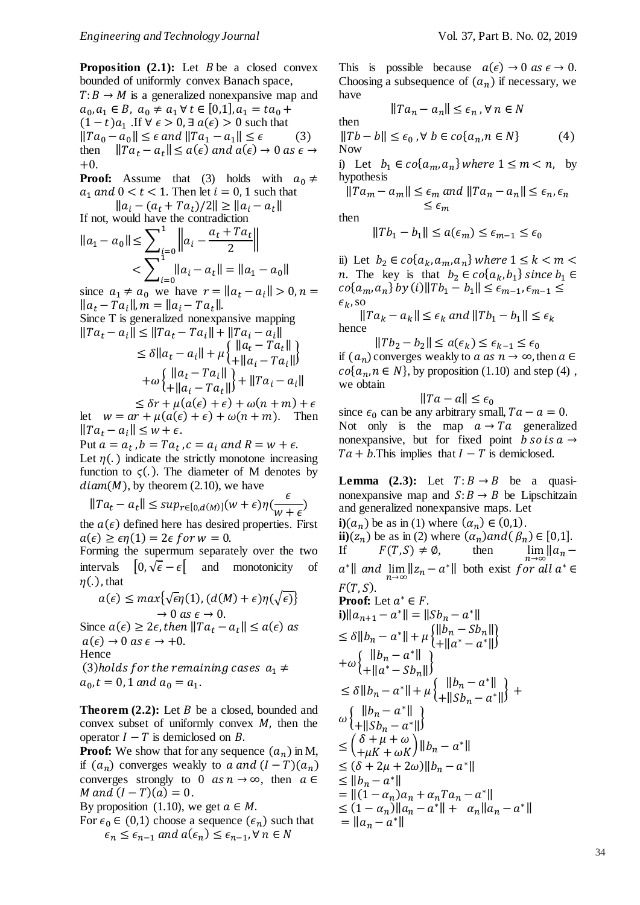**Proposition**  $(2.1)$ : Let  $B$  be a closed convex bounded of uniformly convex Banach space,  $T: B \to M$  is a generalized nonexpansive map and  $a_0, a_1 \in B$ ,  $a_0 \neq a_1 \forall t \in [0,1], a_1 = ta_0 +$  $(1-t)a_1$  .If  $\forall \epsilon > 0$ ,  $\exists \alpha(\epsilon) > 0$  such that  $||Ta_0 - a_0|| \leq \epsilon$  and  $||Ta_1 - a_1|| \leq \epsilon$  (3) then  $||Ta_t - a_t|| \le a(\epsilon)$  and  $a(\epsilon) \to 0$  as  $\epsilon \to$  $+0.$ 

**Proof:** Assume that (3) holds with  $a_0 \neq$  $a_1$  and  $0 < t < 1$ . Then let  $i = 0, 1$  such that

 $||a_i - (a_t + Ta_t)/2|| \ge ||a_i - a_t||$ If not, would have the contradiction

$$
||a_1 - a_0|| \le \sum_{i=0}^1 ||a_i - \frac{a_t + Ta_t}{2}||
$$
  

$$
< \sum_{i=0}^1 ||a_i - a_t|| = ||a_1 - a_0||
$$

since  $a_1 \neq a_0$  we have  $r = ||a_t - a_i|| > 0, n =$  $||a_t - Ta_i||, m = ||a_i - Ta_t||.$ Since T is generalized nonexpansive mapping  $||Ta_t - a_i|| \le ||Ta_t - Ta_i|| + ||Ta_i - a_i||$  $\leq \delta \|a_t - a_i\| + \mu \begin{cases} \|a_t - Ta_t\| \\ + \|a_t - Ta_t\| \end{cases}$  $+ ||a_i - Ta_i||$  $+\omega\left\{\frac{\|a_t-Ta_i\|}{\|a_s-Ta_i\|}\right\}$  $+ ||a_i - Ta_t||$  +  $||Ta_i - a_i||$ 

 $\leq \delta r + \mu(a(\epsilon) + \epsilon) + \omega(n + m) + \epsilon$ let  $w = ar + \mu(a(\epsilon) + \epsilon) + \omega(n + m)$ . Then  $\| Ta_t - a_i \| \leq w + \epsilon.$ 

Put  $a = a_t$  ,  $b = Ta_t$  ,  $c = a_i$  and  $R = w + \epsilon$ . Let  $\eta(.)$  indicate the strictly monotone increasing function to  $\zeta(.)$ . The diameter of M denotes by  $diam(M)$ , by theorem (2.10), we have

$$
||Ta_t - a_t|| \le \sup_{r \in [0,d(M)]}(w+\epsilon)\eta(\frac{\epsilon}{w+\epsilon})
$$

the  $a(\epsilon)$  defined here has desired properties. First  $a(\epsilon) \geq \epsilon \eta(1) = 2\epsilon$  for  $w = 0$ .

Forming the supermum separately over the two intervals  $[0, \sqrt{\epsilon} - \epsilon]$  and monotonicity of  $\eta(.)$ , that

$$
a(\epsilon) \le \max\{\sqrt{\epsilon}\eta(1), (d(M) + \epsilon)\eta(\sqrt{\epsilon})\}
$$
  
\n
$$
\to 0 \text{ as } \epsilon \to 0.
$$
  
\nSince  $a(\epsilon) \ge 2\epsilon$ , then  $||Ta_t - a_t|| \le a(\epsilon)$  as  
\n $a(\epsilon) \to 0 \text{ as } \epsilon \to +0.$   
\nHence  
\n(3)holds for the remaining cases  $a_1 \ne a_0, t = 0, 1$  and  $a_0 = a_1$ .

**Theorem**  $(2.2)$ **:** Let  $B$  be a closed, bounded and convex subset of uniformly convex  $M$ , then the operator  $I - T$  is demiclosed on  $B$ .

**Proof:** We show that for any sequence  $(a_n)$  in M, if  $(a_n)$  converges weakly to a and  $(I - T)(a_n)$ converges strongly to 0  $as n \to \infty$ , then  $\alpha \in \mathbb{R}$ *M* and  $(I - T)(a) = 0$ .

By proposition (1.10), we get  $a \in M$ .

For 
$$
\epsilon_0 \in (0,1)
$$
 choose a sequence  $(\epsilon_n)$  such that  
 $\epsilon_n \le \epsilon_{n-1}$  and  $a(\epsilon_n) \le \epsilon_{n-1}$ ,  $\forall n \in N$ 

This is possible because  $a(\epsilon) \rightarrow 0$  as  $\epsilon \rightarrow 0$ . Choosing a subsequence of  $(a_n)$  if necessary, we have

$$
||Ta_n - a_n|| \le \epsilon_n \,, \forall \, n \in N
$$

then  
\n
$$
||Tb - b|| \le \epsilon_0, \forall b \in co\{a_n, n \in N\}
$$
\n(4)

i) Let  $b_1 \in co\{a_m, a_n\}$  where  $1 \leq m < n$ , by hypothesis

$$
||Ta_m - a_m|| \le \epsilon_m \text{ and } ||Ta_n - a_n|| \le \epsilon_n, \epsilon_n
$$
  

$$
\le \epsilon_m
$$

then

$$
||Tb_1 - b_1|| \le a(\epsilon_m) \le \epsilon_{m-1} \le \epsilon_0
$$

ii) Let  $b_2 \in co\{a_k, a_m, a_n\}$  where  $1 \leq k \leq m \leq n$ *n*. The key is that  $b_2 \in co\{a_k, b_1\}$  since  $b_1 \in$  $\cos\{a_m, a_n\}$  by (i)  $\|Tb_1 - b_1\| \leq \epsilon_{m-1}, \epsilon_{m-1} \leq$  $\epsilon_k$ , so

 $||Ta_k - a_k|| \leq \epsilon_k$  and  $||Tb_1 - b_1|| \leq \epsilon_k$ hence

 $||Tb_2 - b_2|| \leq a(\epsilon_k) \leq \epsilon_{k-1} \leq \epsilon_0$ if  $(a_n)$  converges weakly to  $a$  as  $n \to \infty$ , then  $a \in$  $co{a_n, n \in N}$ , by proposition (1.10) and step (4), we obtain

$$
\|Ta-a\|\leq \epsilon_0
$$

since  $\epsilon_0$  can be any arbitrary small,  $Ta - a = 0$ . Not only is the map  $a \rightarrow Ta$  generalized nonexpansive, but for fixed point  $b$  so is  $a \rightarrow$  $Ta + b$ . This implies that  $I - T$  is demiclosed.

**Lemma** (2.3): Let  $T: B \rightarrow B$  be a quasinonexpansive map and  $S: B \to B$  be Lipschitzain and generalized nonexpansive maps. Let **i**) $(a_n)$  be as in (1) where  $(a_n) \in (0,1)$ . **ii**)( $z_n$ ) be as in (2) where  $(\alpha_n)$  and  $(\beta_n) \in [0,1]$ . If  $F(T, S) \neq \emptyset$ , then  $\lim_{n \to \infty}$  $\lim_{n \to \infty} ||a_n$  $a^* \parallel$  and  $\lim_{n \to \infty} ||z_n - a^*||$  both exist for all  $a^* \in$  $F(T, S)$ . **Proof:** Let  $a^* \in F$ . **i**) $||a_{n+1} - a^*|| = ||Sb_n - a^*||$  $\leq \delta \|b_n - a^*\| + \mu \begin{cases} \|b_n - Sb_n\| \\ + \|a^* - a^*\| \end{cases}$  $||u_n - \frac{1}{2}u_n||_2^2 + ||a^* - a^*||_2^2$  $+ \omega \begin{cases} ||b_n - a^*|| \\ ||b_n - a^*|| \end{cases}$  $+ ||a^* - Sb_n||^{\frac{1}{2}}$  $\leq \delta \|b_n - a^*\| + \mu \begin{cases} \|b_n - a^*\| \\ + \|c_n - a^*\| \end{cases}$  $+ ||Sb_n - a^*||$  + ω{ $||b_n - a^*||$  $+ ||Sb_n - a^*||$  $\leq \left(\frac{\delta + \mu + \omega}{\mu K + \omega K}\right) ||b_n - a^*||$  $\leq (\delta + 2\mu + 2\omega) \|b_n - a^*\|$  $\leq ||b_n - a^*||$  $= ||(1 - \alpha_n)a_n + \alpha_nTa_n - a^*||$  $\leq (1 - \alpha_n) ||a_n - a^*|| + \alpha_n ||a_n - a^*||$  $= ||a_n - a^*||$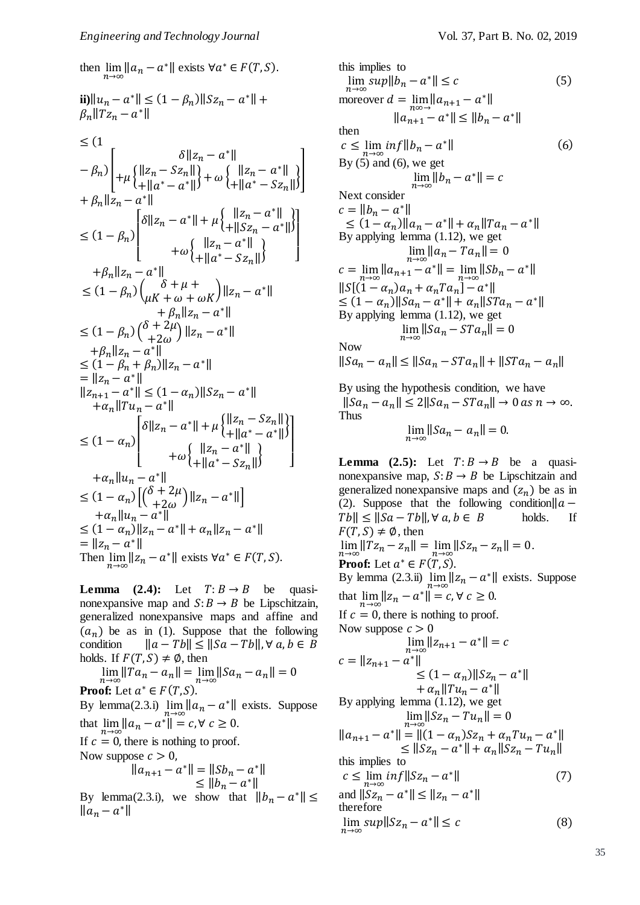then  $\lim_{n\to\infty} ||a_n - a^*||$  exists  $\forall a^* \in F(T, S)$ . **ii**) $||u_n - a^*|| \le (1 - \beta_n) ||Sz_n - a^*|| +$  $\beta_n || T z_n - a^* ||$  $\leq$  (1)  $-\beta_n$ )  $\delta ||z_n - a^*||$  $+ \mu \begin{cases} ||z_n - Sz_n|| \\ ||z_n - z_n|| \end{cases}$  $\|z_n - Sz_n\|$ <br>+ $\|a^* - a^*\|$  +  $\omega \begin{cases} \|z_n - a^*\| \\ + \|a^* - Sz_n \end{cases}$  $\begin{bmatrix} ||z_n - a^*|| \\ + ||a^* - Sz_n|| \end{bmatrix}$  $+ \beta_n ||z_n - a^*||$  $\leq (1 - \beta_n)$  $\lfloor$ ļ I  $\int \delta \|z_n - a^*\| + \mu \begin{cases} \|z_n - a^*\| \\ + \|S\| < -a^* \end{cases}$  $+ || Sz_n - a^* ||$  $+ \omega \begin{cases} ||z_n - a^*|| \\ ||z_n - z^*|| \end{cases}$  $+ ||a^* - Sz_n||$   $\Big|$ I ł ŀ  $+\beta_n ||z_n - a^*||$  $\leq (1 - \beta_n) \binom{\delta + \mu + \mu + \mu}{\mu K + \omega + \omega K} \|z_n - a^*\|$  $+ \beta_n ||z_n - a^*||$  $\leq (1 - \beta_n) \binom{\delta + 2\mu}{1 + 2\mu}$  $+\frac{2\mu}{2\omega}\right] \|z_n - a^*\|$  $+\beta_n ||z_n - a^*||$  $\leq (1 - \beta_n + \beta_n) \|z_n - a^*\|$  $=$   $||z_n - a^*||$  $||z_{n+1} - a^*|| \leq (1 - \alpha_n) ||Sz_n - a^*||$  $+\alpha_n \| T u_n - a^* \|$  $\leq (1 - \alpha_n)$  $\mathsf{L}$   $\mathsf{L}^{\mathsf{w}}$  +  $\|\mathsf{a}^* - S \mathsf{z}_n\|$ I I  $\int \delta \|z_n - a^*\| + \mu \begin{cases} \|z_n - Sz_n\| \\ + \|a^* - a^*\| \end{cases}$  $||a - b^2n||$ <br>+ $||a^* - a^*||$  $+ \omega \begin{cases} ||z_n - a^*|| \\ ||z_n - z^*|| \end{cases}$ ‖ } ] I I I  $+\alpha_n||u_n - a^*||$  $\leq (1 - \alpha_n) \left[ \begin{pmatrix} \delta + 2\mu \\ +2\omega \end{pmatrix} \right]$  $+\frac{2\mu}{2\omega}\right] \|z_n - a^*\|$  $+\alpha_n||u_n - a$ ∗‖  $\leq (1 - \alpha_n) \|z_n - a^*\| + \alpha_n \|z_n - a^*\|$  $=$   $||z_n - a^*||$ Then  $\lim_{n\to\infty}||z_n - a^*||$  exists  $\forall a^* \in F(T, S)$ .

**Lemma**  $(2.4)$ : Let  $T: B \rightarrow B$  be quasinonexpansive map and  $S: B \to B$  be Lipschitzain, generalized nonexpansive maps and affine and  $(a_n)$  be as in (1). Suppose that the following condition  $||a - Tb|| \le ||Sa - Tb||, \forall a, b \in B$ holds. If  $F(T, S) \neq \emptyset$ , then

 $\lim_{n \to \infty} ||Ta_n - a_n|| = \lim_{n \to \infty} ||Sa_n - a_n|| = 0$ **Proof:** Let  $a^* \in F(T, S)$ . By lemma(2.3.i)  $\lim_{n\to\infty} ||a_n - a^*||$  exists. Suppose that  $\lim_{n \to \infty} ||a_n - a^*|| = c, \forall c \ge 0.$ If  $c = 0$ , there is nothing to proof. Now suppose  $c > 0$ ,

$$
||a_{n+1} - a^*|| = ||Sb_n - a^*||
$$
  
\n
$$
\le ||b_n - a^*||
$$

By lemma(2.3.i), we show that  $||b_n - a^*|| \le$  $\|a_n - a^*\|$ 

this implies to  
\n
$$
\lim_{n\to\infty} sup\|b_n - a^*\| \leq c
$$
\n(5)  
\nmoreover  $d = \lim_{n\infty} ||a_{n+1} - a^*||$   
\n
$$
||a_{n+1} - a^*|| \leq ||b_n - a^*||
$$
\nthen  
\n
$$
c \leq \lim_{n\to\infty} inf||b_n - a^*||
$$
\n(6)  
\nBy (5) and (6), we get  
\n
$$
\lim_{n\to\infty} ||b_n - a^*|| = c
$$
\nNext consider  
\n
$$
c = ||b_n - a^*||
$$
\n
$$
\leq (1 - a_n) ||a_n - a^*|| + a_n ||Ta_n - a^*||
$$
\nBy applying lemma (1.12), we get  
\n
$$
\lim_{n\to\infty} ||a_n - Ta_n|| = 0
$$
\n
$$
c = \lim_{n\to\infty} ||a_{n+1} - a^*|| = \lim_{n\to\infty} ||Sb_n - a^*||
$$
\n
$$
||S[(1 - a_n)a_n + a_nTa_n] - a^*||
$$
\n
$$
\leq (1 - a_n) ||Sa_n - a^*|| + a_n ||STa_n - a^*||
$$
\nBy applying lemma (1.12), we get  
\n
$$
\lim_{n\to\infty} ||Sa_n - STa_n|| = 0
$$
\nNow  
\n
$$
||Sa_n - a_n|| \leq ||Sa_n - STa_n|| + ||STa_n - a_n||
$$

By using the hypothesis condition, we have  $||Sa_n - a_n|| \leq 2||Sa_n - STa_n|| \to 0 \text{ as } n \to \infty.$ Thus

$$
\lim_{n\to\infty}||Sa_n - a_n|| = 0.
$$

**Lemma** (2.5): Let  $T: B \rightarrow B$  be a quasinonexpansive map,  $S: B \to B$  be Lipschitzain and generalized nonexpansive maps and  $(z_n)$  be as in (2). Suppose that the following condition  $||a - b||$  $Tb \leq ||Sa - Tb||, \forall a, b \in B$  holds. If  $F(T, S) \neq \emptyset$ , then  $\lim_{n \to \infty} ||Tz_n - z_n|| = \lim_{n \to \infty} ||Sz_n - z_n|| = 0.$ **Proof:** Let  $a^* \in F(T, S)$ . By lemma (2.3.ii)  $\lim_{n \to \infty} ||z_n - a^*||$  exists. Suppose that  $\lim_{n\to\infty}||z_n - a^*|| = c, \forall c \ge 0.$ If  $c = 0$ , there is nothing to proof. Now suppose  $c > 0$  $\lim_{n \to \infty} ||z_{n+1} - a^*|| = c$  $c = ||z_{n+1} - a^*||$  $\leq (1 - \alpha_n) ||Sz_n - a^*||$  $+ a_n ||Tu_n - a^*||$ By applying lemma (1.12), we get  $\lim_{n\to\infty}||Sz_n-Tu_n||=0$  $||a_{n+1} - a^*|| = ||(1 - a_n)Sz_n + a_nTu_n - a^*||$  $\leq ||Sz_n - a^*|| + \alpha_n ||Sz_n - Tu_n||$ this implies to  $c \leq \lim_{n \to \infty} \inf ||Sz_n - a$  $(7)$ and  $||Sz_n - a^*|| \le ||z_n - a^*||$ therefore  $\lim_{n \to \infty} sup\|Sz_n - a^*\| \leq c$  (8)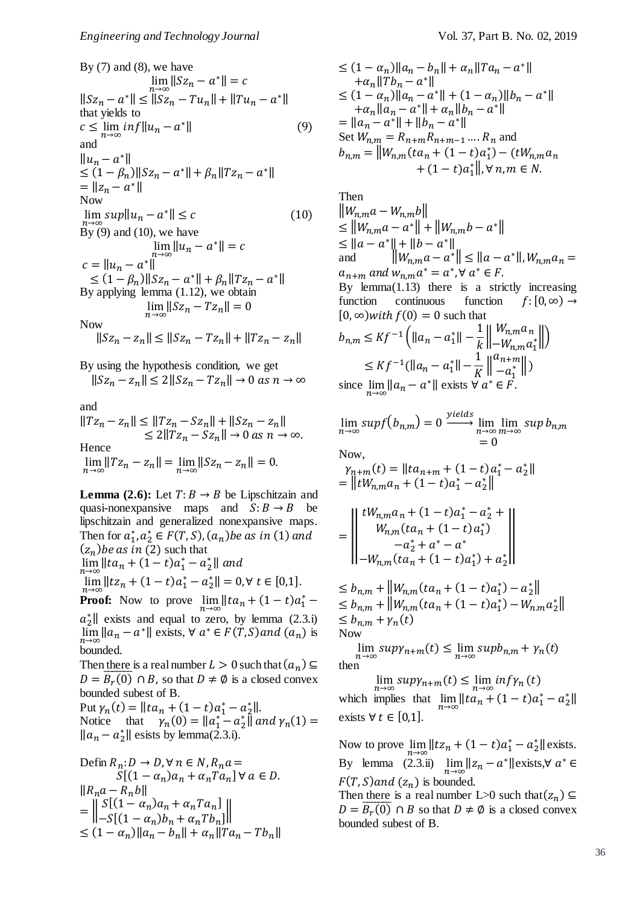By (7) and (8), we have  
\n
$$
\lim_{n\to\infty} ||Sz_n - a^*|| = c
$$
\n
$$
||Sz_n - a^*|| \le ||Sz_n - Tu_n|| + ||Tu_n - a^*||
$$
\nthat yields to  
\n
$$
c \le \lim_{n\to\infty} inf ||u_n - a^*||
$$
\nand  
\n
$$
||u_n - a^*||
$$
\n
$$
\le (1 - \beta_n) ||Sz_n - a^*|| + \beta_n ||Tz_n - a^*||
$$
\n
$$
= ||z_n - a^*||
$$
\nNow  
\n
$$
\lim_{n\to\infty} sup ||u_n - a^*|| \le c
$$
\n(10)\nBy (9) and (10), we have  
\n
$$
\lim_{n\to\infty} ||u_n - a^*|| = c
$$
\n
$$
c = ||u_n - a^*||
$$
\n
$$
\le (1 - \beta_n) ||Sz_n - a^*|| + \beta_n ||Tz_n - a^*||
$$
\nBy applying lemma (1.12), we obtain  
\n
$$
\lim_{n\to\infty} ||Sz_n - Tz_n|| = 0
$$
\nNow  
\n
$$
||Sz_n - z_n|| \le ||Sz_n - Tz_n|| + ||Tz_n - z_n||
$$

By using the hypothesis condition, we get  $||Sz_n - z_n|| \le 2||Sz_n - Tz_n|| \to 0 \text{ as } n \to \infty$ 

and

 $||Tz_n - z_n|| \le ||Tz_n - Sz_n|| + ||Sz_n - z_n||$  $\leq 2||Tz_n - Sz_n|| \to 0 \text{ as } n \to \infty.$ Hence  $\lim_{n \to \infty} ||Tz_n - z_n|| = \lim_{n \to \infty} ||Sz_n - z_n|| = 0.$ 

**Lemma** (2.6): Let  $T: B \rightarrow B$  be Lipschitzain and quasi-nonexpansive maps and  $S: B \to B$  be lipschitzain and generalized nonexpansive maps. Then for  $a_1^*, a_2^* \in F(T, S), (a_n)$  be as in (1) and  $(z_n)$ *be as in* (2) such that  $\lim_{n \to \infty} ||ta_n + (1-t)a_1^* - a_2^*||$  and  $\lim_{n\to\infty} ||tz_n + (1-t)a_1^* - a_2^*|| = 0, \forall t \in [0,1].$ **Proof:** Now to prove  $\lim_{n \to \infty} ||ta_n + (1-t)a_1^*$  $a_2^*$  exists and equal to zero, by lemma (2.3.i)  $\lim_{n\to\infty} ||a_n - a^*||$  exists,  $\forall a^* \in F(T, S)$  and  $(a_n)$  is bounded. Then there is a real number  $L > 0$  such that  $(a_n) \subseteq$ 

 $D = \overline{B_r(0)} \cap B$ , so that  $D \neq \emptyset$  is a closed convex bounded subest of B. Put  $\gamma_n(t) = ||ta_n + (1-t)a_1^* - a_2^*||.$ Notice that  $\gamma_n(0) = ||a_1^* - a_2^*||$  and  $\gamma_n(1) =$  $\|a_n - a_2^*\|$  esists by lemma(2.3.i).

$$
\begin{aligned} \text{Defin } & R_n: D \to D, \forall \, n \in N, R_n a = \\ & S[(1 - \alpha_n)a_n + \alpha_n Ta_n] \, \forall \, a \in D. \\ & \|R_n a - R_n b\| \\ &= \left\| \begin{array}{l} S[(1 - \alpha_n)a_n + \alpha_n Ta_n] \\ -S[(1 - \alpha_n)b_n + \alpha_n Tb_n] \end{array} \right\| \\ &\le (1 - \alpha_n) \|a_n - b_n\| + \alpha_n \|Ta_n - Tb_n\| \end{aligned}
$$

$$
\leq (1 - \alpha_n) ||a_n - b_n|| + \alpha_n ||Ta_n - a^*||
$$
  
\n
$$
+ \alpha_n ||Tb_n - a^*||
$$
  
\n
$$
\leq (1 - \alpha_n) ||a_n - a^*|| + (1 - \alpha_n) ||b_n - a^*||
$$
  
\n
$$
+ \alpha_n ||a_n - a^*|| + \alpha_n ||b_n - a^*||
$$
  
\n
$$
= ||a_n - a^*|| + ||b_n - a^*||
$$
  
\nSet  $W_{n,m} = R_{n+m}R_{n+m-1} \dots R_n$  and  
\n
$$
b_{n,m} = ||W_{n,m}(ta_n + (1-t)a_1^*) - (tW_{n,m}a_n + (1-t)a_1^*||, \forall n, m \in N.
$$

Then

 $\|W_{n,m}a-W_{n,m}b\|$  $\leq \|W_{n,m}a - a^*\| + \|W_{n,m}b - a^*\|$  $\leq ||a - a^*|| + ||b - a^*||$ and  $\|W_{n,m}a - a^*\| \leq \|a - a^*\|, W_{n,m}a_n =$  $a_{n+m}$  and  $w_{n,m}a^* = a^*$ ,  $\forall a^* \in F$ . By lemma $(1.13)$  there is a strictly increasing function continuous function  $f: [0, \infty) \rightarrow$  $[0, \infty)$ with  $f(0) = 0$  such that  $b_{n,m} \leq K f^{-1} \left( ||a_n - a_1^*|| - \frac{1}{k} \right)$  $\boldsymbol{k}$  $\parallel W_{n,m} a_n$  $-w_{n,m} a_1^*$  $\leq K f^{-1} (\|a_n - a_1^*\| - \frac{1}{K})$  $\frac{1}{K}\Big\|_{-a_1^*}^{a_{n+m}}$  $-a_1^*$ ||)

since 
$$
\lim_{n \to \infty} ||a_n - a^*||
$$
 exists  $\forall a^* \in F$ .

$$
\lim_{n \to \infty} \frac{\sup f(b_{n,m})}{\sup} = 0 \xrightarrow{\text{yields}} \lim_{\substack{n \to \infty \\ n \to \infty}} \frac{\sup b_{n,m}}{\sup} = 0
$$

Now,

$$
\gamma_{n+m}(t) = ||ta_{n+m} + (1-t)a_1^* - a_2^*||
$$
  
=  $||tW_{n,m}a_n + (1-t)a_1^* - a_2^*||$ 

$$
= \left\| \begin{array}{c} tW_{n,m}a_n + (1-t)a_1^* - a_2^* + \\ W_{n,m}(ta_n + (1-t)a_1^*) \\ -a_2^* + a^* - a^* \\ -W_{n,m}(ta_n + (1-t)a_1^*) + a_2^* \end{array} \right\|
$$

 $\leq b_{n,m} + ||W_{n,m}(ta_n + (1-t)a_1^*) - a_2^*||$  $\leq b_{n,m} + \|W_{n,m}(ta_n + (1-t)a_1^*) - W_{n,m}a_2^*\|$  $\leq b_{n,m} + \gamma_n(t)$ Now

$$
\lim_{n \to \infty} \sup \gamma_{n+m}(t) \le \lim_{n \to \infty} \sup b_{n,m} + \gamma_n(t)
$$
  
then

 $\lim_{n\to\infty} \sup \gamma_{n+m}(t) \leq \lim_{n\to\infty} \inf \gamma_n(t)$ which implies that  $\lim_{n \to \infty} ||ta_n + (1-t)a_1^* - a_2^*||$ exists  $∀ t ∈ [0,1]$ .

Now to prove  $\lim_{n \to \infty} ||tz_n + (1 - t)a_1^* - a_2^*||$  exists. By lemma  $(2.3.ii)$   $\lim_{n\to\infty} ||z_n - a^*||$ exists,∀  $a^* \in$  $F(T, S)$  and  $(z_n)$  is bounded.

Then there is a real number L>0 such that  $(z_n) \subseteq$  $D = \overline{B_r(0)} \cap B$  so that  $D \neq \emptyset$  is a closed convex bounded subest of B.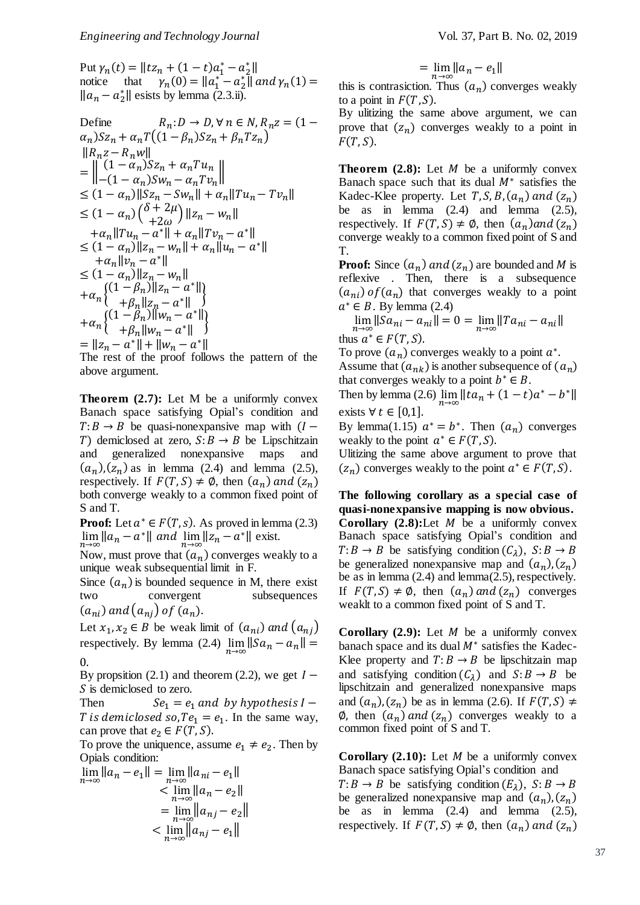Put  $\gamma_n(t) = ||tz_n + (1-t)a_1^* - a_2^*||$ notice that  $\gamma_n(0) = ||a_1^* - a_2^*||$  and  $\gamma_n(1) =$  $\|a_n - a_2^*\|$  esists by lemma (2.3.ii).

Define 
$$
R_n: D \to D, \forall n \in N, R_n z = (1 - \alpha_n) Sz_n + \alpha_n T((1 - \beta_n) Sz_n + \beta_n Tz_n)
$$
  
\n $||R_nz - R_nw||$   
\n $= ||(1 - \alpha_n)Sz_n + \alpha_n Tu_n||$   
\n $\leq (1 - \alpha_n) ||Sz_n - Sw_n|| + \alpha_n ||Tu_n - Tv_n||$   
\n $\leq (1 - \alpha_n) ( \delta + 2\mu) ||z_n - w_n||$   
\n $+ \alpha_n ||Tu_n - a^*|| + \alpha_n ||Tv_n - a^*||$   
\n $+ \alpha_n ||Tu_n - a^*|| + \alpha_n ||u_n - a^*||$   
\n $+ \alpha_n ||v_n - a^*||$   
\n $\leq (1 - \alpha_n) ||z_n - w_n||$   
\n $+ \alpha_n ((1 - \beta_n) ||z_n - a^*||)$   
\n $+ \alpha_n ( \{1 - \beta_n) ||w_n - a^*|| \}$   
\n $+ \alpha_n ( \{1 - \beta_n) ||w_n - a^*|| \}$   
\n $+ \alpha_n ( \{1 - \beta_n) ||w_n - a^*|| \}$   
\n $= ||z_n - a^*|| + ||w_n - a^*||$   
\nThe rest of the proof follows the pattern of the

The rest of the proof follows the pattern of the above argument.

**Theorem (2.7):** Let M be a uniformly convex Banach space satisfying Opial's condition and  $T: B \to B$  be quasi-nonexpansive map with  $(I -$ T) demiclosed at zero,  $S: B \to B$  be Lipschitzain and generalized nonexpansive maps and  $(a_n)$ , $(z_n)$  as in lemma (2.4) and lemma (2.5), respectively. If  $F(T, S) \neq \emptyset$ , then  $(a_n)$  and  $(z_n)$ both converge weakly to a common fixed point of S and T.

**Proof:** Let  $a^* \in F(T, s)$ . As proved in lemma (2.3)  $\lim_{n\to\infty} ||a_n - a^*||$  and  $\lim_{n\to\infty} ||z_n - a^*||$  exist.

Now, must prove that  $(a_n)$  converges weakly to a unique weak subsequential limit in F.

Since  $(a_n)$  is bounded sequence in M, there exist two convergent subsequences  $(a_{ni})$  and  $(a_{ni})$  of  $(a_n)$ .

Let  $x_1, x_2 \in B$  be weak limit of  $(a_{ni})$  and  $(a_{ni})$ respectively. By lemma (2.4)  $\lim_{n\to\infty} ||Sa_n - a_n|| =$ 0.

By propsition (2.1) and theorem (2.2), we get  $I -$ S is demiclosed to zero.

Then  $Se_1 = e_1$  and by hypothesis  $I -$ T is demiclosed so,  $Te_1 = e_1$ . In the same way, can prove that  $e_2 \in F(T, S)$ .

To prove the uniquence, assume  $e_1 \neq e_2$ . Then by Opials condition:

$$
\lim_{n \to \infty} \|a_n - e_1\| = \lim_{n \to \infty} \|a_{ni} - e_1\|
$$
  

$$
< \lim_{n \to \infty} \|a_n - e_2\|
$$
  

$$
= \lim_{n \to \infty} \|a_{nj} - e_2\|
$$
  

$$
< \lim_{n \to \infty} \|a_{nj} - e_1\|
$$

 $= \lim_{n \to \infty} ||a_n - e_1||$ 

this is contrasiction. Thus  $(a_n)$  converges weakly to a point in  $F(T, S)$ .

By ulitizing the same above argument, we can prove that  $(z_n)$  converges weakly to a point in  $F(T, S)$ .

**Theorem**  $(2.8)$ **:** Let  $M$  be a uniformly convex Banach space such that its dual  $M^*$  satisfies the Kadec-Klee property. Let  $T, S, B, (a_n)$  and  $(z_n)$ be as in lemma  $(2.4)$  and lemma  $(2.5)$ , respectively. If  $F(T, S) \neq \emptyset$ , then  $(a_n)$  and  $(z_n)$ converge weakly to a common fixed point of S and T.

**Proof:** Since  $(a_n)$  and  $(z_n)$  are bounded and M is reflexive . Then, there is a subsequence  $(a_{ni})$  of  $(a_n)$  that converges weakly to a point  $a^* \in B$ . By lemma (2.4)

 $\lim_{n \to \infty} ||Sa_{ni} - a_{ni}|| = 0 = \lim_{n \to \infty} ||Ta_{ni} - a_{ni}||$ thus  $a^* \in F(T, S)$ .

To prove  $(a_n)$  converges weakly to a point  $a^*$ . Assume that  $(a_{nk})$  is another subsequence of  $(a_n)$ that converges weakly to a point  $b^* \in B$ .

Then by lemma (2.6)  $\lim_{n \to \infty} ||ta_n + (1-t)a^* - b^*||$ exists  $∀ t ∈ [0,1].$ 

By lemma(1.15)  $a^* = b^*$ . Then  $(a_n)$  converges weakly to the point  $a^* \in F(T, S)$ .

Ulitizing the same above argument to prove that  $(z_n)$  converges weakly to the point  $a^* \in F(T, S)$ .

**The following corollary as a special case of quasi-nonexpansive mapping is now obvious.**

**Corollary**  $(2.8)$ : Let  $M$  be a uniformly convex Banach space satisfying Opial's condition and  $T: B \to B$  be satisfying condition  $(C_{\lambda})$ ,  $S: B \to B$ be generalized nonexpansive map and  $(a_n)$ ,  $(z_n)$ be as in lemma (2.4) and lemma(2.5), respectively. If  $F(T, S) \neq \emptyset$ , then  $(a_n)$  and  $(z_n)$  converges weaklt to a common fixed point of S and T.

**Corollary**  $(2.9)$ : Let  $M$  be a uniformly convex banach space and its dual  $M^*$  satisfies the Kadec-Klee property and  $T: B \to B$  be lipschitzain map and satisfying condition  $(C_{\lambda})$  and  $S: B \to B$  be lipschitzain and generalized nonexpansive maps and  $(a_n)$ ,  $(z_n)$  be as in lemma (2.6). If  $F(T, S) \neq$  $\emptyset$ , then  $(a_n)$  and  $(z_n)$  converges weakly to a common fixed point of S and T.

**Corollary**  $(2.10)$ : Let  $M$  be a uniformly convex Banach space satisfying Opial's condition and

 $T: B \to B$  be satisfying condition  $(E_{\lambda})$ ,  $S: B \to B$ be generalized nonexpansive map and  $(a_n)$ ,  $(z_n)$ be as in lemma  $(2.4)$  and lemma  $(2.5)$ , respectively. If  $F(T, S) \neq \emptyset$ , then  $(a_n)$  and  $(z_n)$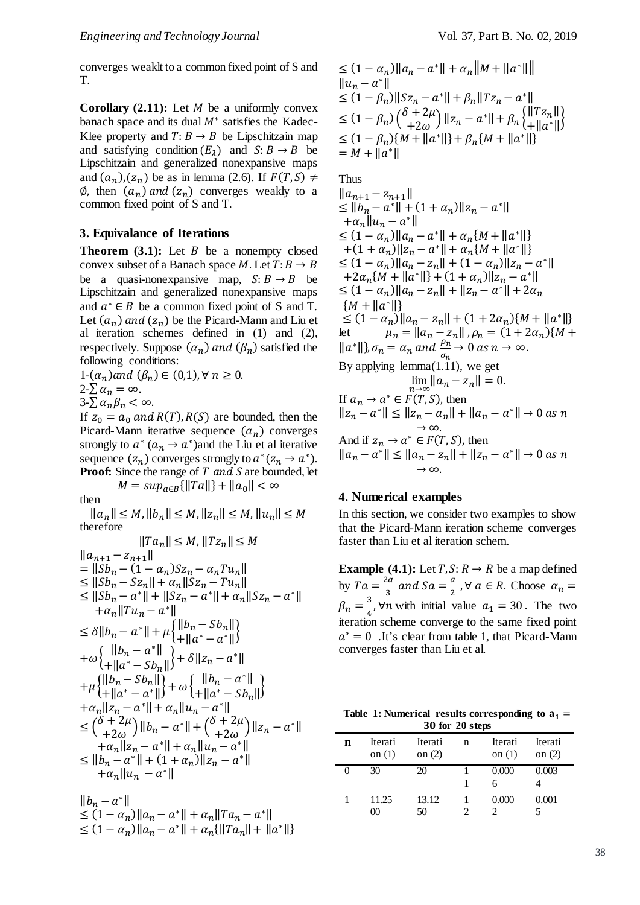converges weaklt to a common fixed point of S and T.

**Corollary**  $(2.11)$ : Let  $M$  be a uniformly convex banach space and its dual  $M^*$  satisfies the Kadec-Klee property and  $T: B \to B$  be Lipschitzain map and satisfying condition  $(E_{\lambda})$  and  $S: B \rightarrow B$  be Lipschitzain and generalized nonexpansive maps and  $(a_n)$ ,  $(z_n)$  be as in lemma (2.6). If  $F(T, S) \neq$  $\emptyset$ , then  $(a_n)$  and  $(z_n)$  converges weakly to a common fixed point of S and T.

### **3. Equivalance of Iterations**

**Theorem**  $(3.1)$ **:** Let  $B$  be a nonempty closed convex subset of a Banach space M. Let  $T: B \rightarrow B$ be a quasi-nonexpansive map,  $S: B \rightarrow B$  be Lipschitzain and generalized nonexpansive maps and  $a^* \in B$  be a common fixed point of S and T. Let  $(a_n)$  and  $(z_n)$  be the Picard-Mann and Liu et al iteration schemes defined in (1) and (2), respectively. Suppose  $(\alpha_n)$  and  $(\beta_n)$  satisfied the following conditions:

1- $(\alpha_n)$  and  $(\beta_n) \in (0,1)$ ,  $\forall n \geq 0$ .  $2-\sum \alpha_n = \infty$ .

 $3-\sum \alpha_n\beta_n < \infty$ .

If  $z_0 = a_0$  and  $R(T)$ ,  $R(S)$  are bounded, then the Picard-Mann iterative sequence  $(a_n)$  converges strongly to  $a^*(a_n \to a^*)$  and the Liu et al iterative sequence  $(z_n)$  converges strongly to  $a^*(z_n \to a^*)$ . **Proof:** Since the range of T and S are bounded, let

 $M = \sup_{a \in B} {\{\| Ta \| \} + \| a_0 \|} < \infty$ 

then

 $||a_n|| \leq M, ||b_n|| \leq M, ||z_n|| \leq M, ||u_n|| \leq M$ therefore

$$
||Ta_n|| \le M, ||Tz_n|| \le M
$$
  
\n
$$
||a_{n+1} - z_{n+1}||
$$
  
\n
$$
= ||Sb_n - (1 - a_n)Sz_n - a_nTu_n||
$$
  
\n
$$
\le ||Sb_n - Sz_n|| + a_n||Sz_n - Tu_n||
$$
  
\n
$$
\le ||Sb_n - a^*|| + ||Sz_n - a^*|| + a_n||Sz_n - a^*||
$$
  
\n
$$
+ a_n||Tu_n - a^*||
$$
  
\n
$$
\le \delta ||b_n - a^*|| + \mu \{||b_n - Sb_n||\}
$$
  
\n
$$
+ \omega \{||b_n - a^*|| + \delta ||z_n - a^*||\}
$$
  
\n
$$
+ \mu \{||b_n - Sb_n||\} + \delta ||z_n - a^*||
$$
  
\n
$$
+ \mu \{||b_n - Sb_n||\} + \omega \{||b_n - a^*||\}
$$
  
\n
$$
+ a_n||z_n - a^*|| + \omega \{||a^* - Sb_n||\}
$$
  
\n
$$
+ a_n||z_n - a^*|| + a_n||u_n - a^*||
$$
  
\n
$$
\le (\delta + 2\mu) ||b_n - a^*|| + (\delta + 2\mu) ||z_n - a^*||
$$
  
\n
$$
+ a_n||z_n - a^*|| + a_n||u_n - a^*||
$$
  
\n
$$
\le ||b_n - a^*|| + (1 + a_n)||z_n - a^*||
$$
  
\n
$$
+ a_n||u_n - a^*||
$$

$$
||b_n - a^*||
$$
  
\n
$$
\leq (1 - a_n) ||a_n - a^*|| + a_n ||Ta_n - a^*||
$$
  
\n
$$
\leq (1 - a_n) ||a_n - a^*|| + a_n {||Ta_n|| + ||a^*||}
$$

$$
\leq (1 - \alpha_n) ||a_n - a^*|| + \alpha_n ||M + ||a^*|| ||
$$
  
\n
$$
||u_n - a^*||
$$
  
\n
$$
\leq (1 - \beta_n) ||Sz_n - a^*|| + \beta_n ||Tz_n - a^*||
$$
  
\n
$$
\leq (1 - \beta_n) {\delta + 2\mu \choose + 2\omega} ||z_n - a^*|| + \beta_n \{||Tz_n|| \}
$$
  
\n
$$
\leq (1 - \beta_n) \{M + ||a^*||\} + \beta_n \{M + ||a^*||\}
$$
  
\n
$$
= M + ||a^*||
$$

Thus

$$
||a_{n+1} - z_{n+1}||
$$
  
\n
$$
\leq ||b_n - a^*|| + (1 + a_n)||z_n - a^*||
$$
  
\n
$$
+ \alpha_n ||u_n - a^*||
$$
  
\n
$$
\leq (1 - a_n)||a_n - a^*|| + \alpha_n \{M + ||a^*||\}
$$
  
\n
$$
+ (1 + \alpha_n)||z_n - a^*|| + \alpha_n \{M + ||a^*||\}
$$
  
\n
$$
\leq (1 - a_n)||a_n - z_n|| + (1 - a_n)||z_n - a^*||
$$
  
\n
$$
+ 2\alpha_n \{M + ||a^*||\} + (1 + \alpha_n)||z_n - a^*||
$$
  
\n
$$
\leq (1 - \alpha_n)||a_n - z_n|| + ||z_n - a^*|| + 2\alpha_n
$$
  
\n
$$
\{M + ||a^*||\}
$$
  
\n
$$
\leq (1 - \alpha_n)||a_n - z_n|| + (1 + 2\alpha_n)\{M + ||a^*||\}
$$
  
\nlet  $\mu_n = ||a_n - z_n||$ ,  $\rho_n = (1 + 2\alpha_n)\{M + ||a^*||\}$   
\nlet  $\mu_n = ||a_n - z_n||$ ,  $\rho_n = (1 + 2\alpha_n)\{M + ||a^*||\}$   
\n
$$
||a^*||
$$
,  $\sigma_n = \alpha_n$  and  $\frac{\rho_n}{\sigma_n} \to 0$  as  $n \to \infty$ .  
\nBy applying lemma(1.11), we get  
\n
$$
\lim_{n \to \infty} ||a_n - z_n|| + ||a_n - a^*|| \to 0
$$
 as  $n \to \infty$ .  
\nAnd if  $z_n \to a^* \in F(T, S)$ , then  
\n
$$
||z_n - a^*|| \leq ||z_n - a_n|| + ||z_n - a^*|| \to 0
$$
 as  $n \to \infty$ .  
\nAnd if  $z_n \to a^* \in F(T, S)$ , then  
\n
$$
||a_n - z_n|| + ||z_n - a^*|| \to 0
$$
 as  $n \to \infty$ .

### **4. Numerical examples**

In this section, we consider two examples to show that the Picard-Mann iteration scheme converges faster than Liu et al iteration schem.

**Example** (4.1): Let  $T, S: R \rightarrow R$  be a map defined by  $Ta = \frac{2a}{a}$  $\frac{2a}{3}$  and Sa =  $\frac{a}{2}$  $\frac{a}{2}$ ,  $\forall$   $a \in R$ . Choose  $\alpha_n =$  $\beta_n = \frac{3}{4}$  $\frac{3}{4}$ ,  $\forall n$  with initial value  $a_1 = 30$ . The two iteration scheme converge to the same fixed point  $a^* = 0$  . It's clear from table 1, that Picard-Mann converges faster than Liu et al.

Table 1: Numerical results corresponding to  $a_1 =$ **for 20 steps**

| $\sim$ $\sim$ $\sim$ $\sim$ $\sim$ $\sim$ $\sim$ $\sim$ |                     |                     |   |                     |                     |
|---------------------------------------------------------|---------------------|---------------------|---|---------------------|---------------------|
| n                                                       | Iterati<br>on $(1)$ | Iterati<br>on $(2)$ | n | Iterati<br>on $(1)$ | Iterati<br>on $(2)$ |
|                                                         | 30                  | 20                  |   | 0.000               | 0.003               |
|                                                         | 11.25<br>00         | 13.12<br>50         |   | 0.000<br>2          | 0.001               |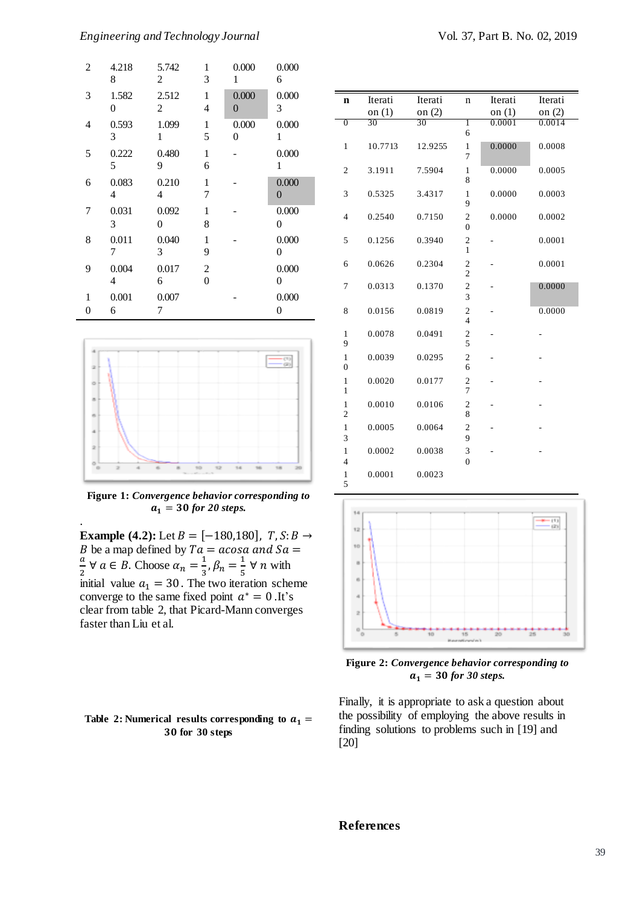| $\overline{c}$ | 4.218<br>8              | 5.742<br>2              | 1<br>3                           | 0.000<br>1              | 0.000<br>6 |
|----------------|-------------------------|-------------------------|----------------------------------|-------------------------|------------|
| 3              | 1.582<br>$\overline{0}$ | 2.512<br>$\overline{c}$ | 1<br>4                           | 0.000<br>$\overline{0}$ | 0.000<br>3 |
| 4              | 0.593<br>3              | 1.099<br>1              | $\mathbf{1}$<br>5                | 0.000<br>$\overline{0}$ | 0.000<br>1 |
| 5              | 0.222<br>5              | 0.480<br>9              | 1<br>6                           |                         | 0.000<br>1 |
| 6              | 0.083<br>4              | 0.210<br>4              | 1<br>7                           |                         | 0.000<br>0 |
| 7              | 0.031<br>3              | 0.092<br>$\overline{0}$ | 1<br>8                           |                         | 0.000<br>0 |
| 8              | 0.011<br>7              | 0.040<br>3              | 1<br>9                           |                         | 0.000<br>0 |
| 9              | 0.004<br>4              | 0.017<br>6              | $\mathfrak{2}$<br>$\overline{0}$ |                         | 0.000<br>0 |
| 1<br>0         | 0.001<br>6              | 0.007<br>7              |                                  |                         | 0.000<br>0 |



**Figure 1:** *Convergence behavior corresponding to*   $a_1 = 30$  for 20 steps.

.

**Example** (4.2): Let  $B = [-180, 180]$ ,  $T, S: B \rightarrow$ B be a map defined by  $Ta = a cos a$  and  $Sa =$  $\frac{a}{2}$   $\forall$   $a \in B$ . Choose  $\alpha_n = \frac{1}{3}$  $\frac{1}{3}$ ,  $\beta_n = \frac{1}{5}$  $\frac{1}{5}$   $\forall$  *n* with initial value  $a_1 = 30$ . The two iteration scheme converge to the same fixed point  $a^* = 0$ . It's clear from table 2, that Picard-Mann converges faster than Liu et al.

#### Table 2: Numerical results corresponding to  $a_1 =$ **for 30 steps**

| n                              | Iterati  | Iterati  | $\mathbf n$                               | Iterati  | Iterati  |
|--------------------------------|----------|----------|-------------------------------------------|----------|----------|
|                                | on $(1)$ | on $(2)$ |                                           | on $(1)$ | on $(2)$ |
| $\overline{0}$                 | 30       | 30       | Ī                                         | 0.0001   | 0.0014   |
|                                |          |          | 6                                         |          |          |
| 1                              | 10.7713  | 12.9255  | 1<br>7                                    | 0.0000   | 0.0008   |
| 2                              | 3.1911   | 7.5904   | 1<br>8                                    | 0.0000   | 0.0005   |
| 3                              | 0.5325   | 3.4317   | 1<br>9                                    | 0.0000   | 0.0003   |
| 4                              | 0.2540   | 0.7150   | 2<br>$\theta$                             | 0.0000   | 0.0002   |
| 5                              | 0.1256   | 0.3940   | $\overline{c}$<br>1                       |          | 0.0001   |
| 6                              | 0.0626   | 0.2304   | $\overline{\mathbf{c}}$<br>$\overline{c}$ |          | 0.0001   |
| 7                              | 0.0313   | 0.1370   | $\overline{c}$<br>3                       |          | 0.0000   |
| 8                              | 0.0156   | 0.0819   | 2<br>$\overline{\mathbf{4}}$              |          | 0.0000   |
| 1<br>9                         | 0.0078   | 0.0491   | $\overline{\mathbf{c}}$<br>5              |          |          |
| 1<br>$\overline{0}$            | 0.0039   | 0.0295   | $\overline{c}$<br>6                       |          |          |
| 1<br>1                         | 0.0020   | 0.0177   | $\overline{c}$<br>$\overline{7}$          |          |          |
| $\mathbf{1}$<br>$\overline{2}$ | 0.0010   | 0.0106   | $\overline{\mathbf{c}}$<br>8              |          |          |
| 1<br>3                         | 0.0005   | 0.0064   | 2<br>9                                    |          |          |
| 1<br>4                         | 0.0002   | 0.0038   | 3<br>$\theta$                             |          |          |
| 1<br>5                         | 0.0001   | 0.0023   |                                           |          |          |



**Figure 2:** *Convergence behavior corresponding to*   $a_1 = 30$  for 30 steps.

Finally, it is appropriate to ask a question about the possibility of employing the above results in finding solutions to problems such in [19] and [20]

# **References**